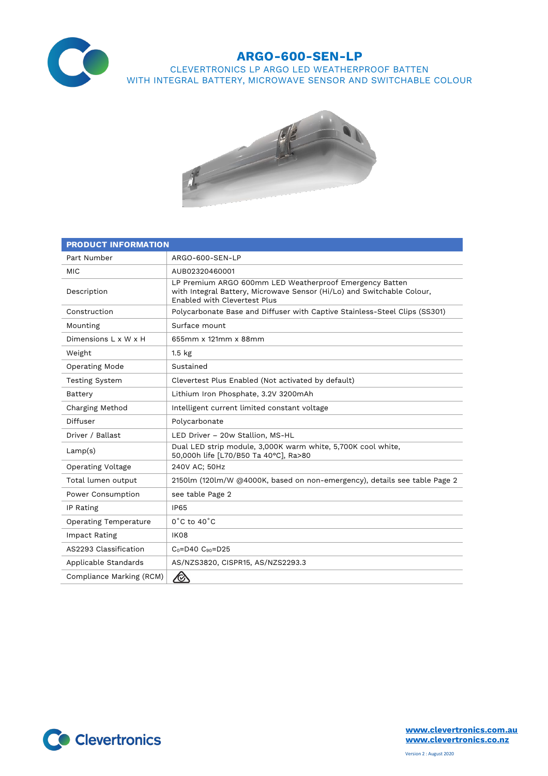

## **ARGO-600-SEN-LP**

CLEVERTRONICS LP ARGO LED WEATHERPROOF BATTEN WITH INTEGRAL BATTERY, MICROWAVE SENSOR AND SWITCHABLE COLOUR



| <b>PRODUCT INFORMATION</b>   |                                                                                                                                                                   |  |  |  |
|------------------------------|-------------------------------------------------------------------------------------------------------------------------------------------------------------------|--|--|--|
| Part Number                  | ARGO-600-SEN-LP                                                                                                                                                   |  |  |  |
| <b>MIC</b>                   | AUB02320460001                                                                                                                                                    |  |  |  |
| Description                  | LP Premium ARGO 600mm LED Weatherproof Emergency Batten<br>with Integral Battery, Microwave Sensor (Hi/Lo) and Switchable Colour,<br>Enabled with Clevertest Plus |  |  |  |
| Construction                 | Polycarbonate Base and Diffuser with Captive Stainless-Steel Clips (SS301)                                                                                        |  |  |  |
| Mounting                     | Surface mount                                                                                                                                                     |  |  |  |
| Dimensions L x W x H         | 655mm x 121mm x 88mm                                                                                                                                              |  |  |  |
| Weight                       | 1.5 <sub>kg</sub>                                                                                                                                                 |  |  |  |
| <b>Operating Mode</b>        | Sustained                                                                                                                                                         |  |  |  |
| <b>Testing System</b>        | Clevertest Plus Enabled (Not activated by default)                                                                                                                |  |  |  |
| Battery                      | Lithium Iron Phosphate, 3.2V 3200mAh                                                                                                                              |  |  |  |
| Charging Method              | Intelligent current limited constant voltage                                                                                                                      |  |  |  |
| Diffuser                     | Polycarbonate                                                                                                                                                     |  |  |  |
| Driver / Ballast             | LED Driver - 20w Stallion, MS-HL                                                                                                                                  |  |  |  |
| Lamp(s)                      | Dual LED strip module, 3,000K warm white, 5,700K cool white,<br>50,000h life [L70/B50 Ta 40°C], Ra>80                                                             |  |  |  |
| Operating Voltage            | 240V AC; 50Hz                                                                                                                                                     |  |  |  |
| Total lumen output           | 2150lm (120lm/W @4000K, based on non-emergency), details see table Page 2                                                                                         |  |  |  |
| Power Consumption            | see table Page 2                                                                                                                                                  |  |  |  |
| IP Rating                    | <b>IP65</b>                                                                                                                                                       |  |  |  |
| <b>Operating Temperature</b> | $0^{\circ}$ C to 40 $^{\circ}$ C                                                                                                                                  |  |  |  |
| Impact Rating                | IK08                                                                                                                                                              |  |  |  |
| AS2293 Classification        | $C_0 = D40$ $C_{90} = D25$                                                                                                                                        |  |  |  |
| Applicable Standards         | AS/NZS3820, CISPR15, AS/NZS2293.3                                                                                                                                 |  |  |  |
| Compliance Marking (RCM)     | $\bigotimes$                                                                                                                                                      |  |  |  |